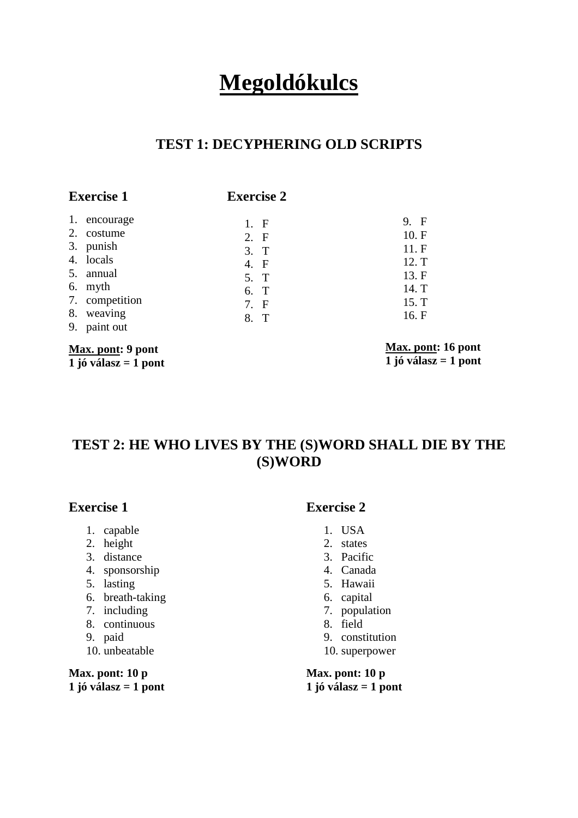# **Megoldókulcs**

## **TEST 1: DECYPHERING OLD SCRIPTS**

## **Exercise 1**

## **Exercise 2**

| Max. pont: 9 pont |                |      | Max. pont: |
|-------------------|----------------|------|------------|
|                   | 9. paint out   |      |            |
|                   | 8. weaving     | 8. T | 16. F      |
|                   | 7. competition | 7. F | 15. T      |
|                   | 6. myth        | 6. T | 14. T      |
|                   | 5. annual      | 5. T | 13. F      |
|                   | 4. locals      | 4. F | 12. T      |
|                   | 3. punish      | 3. T | 11.F       |
|                   | 2. costume     | 2. F | 10. F      |
|                   | 1. encourage   | 1. F | 9. F       |

**1 jó válasz = 1 pont**

**Max. pont: 16 pont**   $\overline{1}$  jó válasz = 1 pont

# **TEST 2: HE WHO LIVES BY THE (S)WORD SHALL DIE BY THE (S)WORD**

## **Exercise 1**

- 1. capable
- 2. height
- 3. distance
- 4. sponsorship
- 5. lasting
- 6. breath-taking
- 7. including
- 8. continuous
- 9. paid
- 10. unbeatable

**Max. pont: 10 p 1 jó válasz = 1 pont** 

#### **Exercise 2**

- 1. USA
- 2. states
- 3. Pacific
- 4. Canada
- 5. Hawaii
- 6. capital
- 7. population
- 8. field
- 9. constitution
- 10. superpower

**Max. pont: 10 p 1 jó válasz = 1 pont**